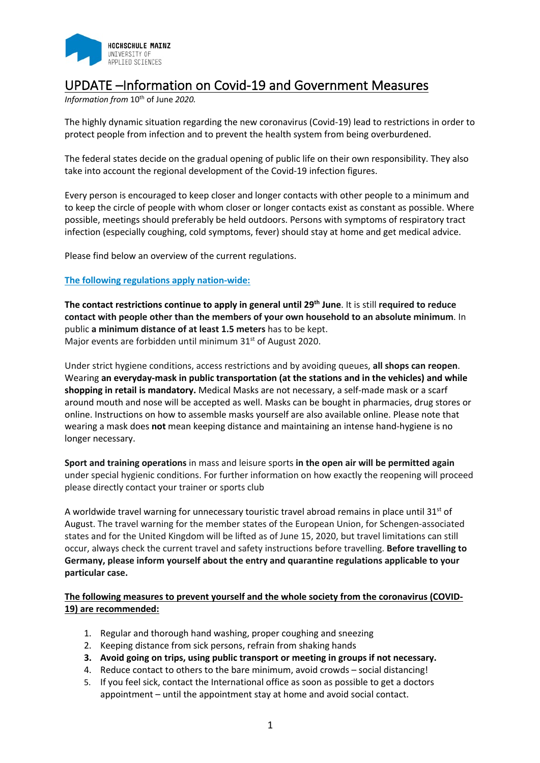

# UPDATE –Information on Covid-19 and Government Measures

*Information from*  $10^{th}$  of June 2020.

The highly dynamic situation regarding the new coronavirus (Covid-19) lead to restrictions in order to protect people from infection and to prevent the health system from being overburdened.

The federal states decide on the gradual opening of public life on their own responsibility. They also take into account the regional development of the Covid-19 infection figures.

Every person is encouraged to keep closer and longer contacts with other people to a minimum and to keep the circle of people with whom closer or longer contacts exist as constant as possible. Where possible, meetings should preferably be held outdoors. Persons with symptoms of respiratory tract infection (especially coughing, cold symptoms, fever) should stay at home and get medical advice.

Please find below an overview of the current regulations.

## **The following regulations apply nation-wide:**

**The contact restrictions continue to apply in general until 29th June**. It is still **required to reduce contact with people other than the members of your own household to an absolute minimum**. In public **a minimum distance of at least 1.5 meters** has to be kept. Major events are forbidden until minimum 31<sup>st</sup> of August 2020.

Under strict hygiene conditions, access restrictions and by avoiding queues, **all shops can reopen**. Wearing **an everyday-mask in public transportation (at the stations and in the vehicles) and while shopping in retail is mandatory.** Medical Masks are not necessary, a self-made mask or a scarf around mouth and nose will be accepted as well. Masks can be bought in pharmacies, drug stores or online. Instructions on how to assemble masks yourself are also available online. Please note that wearing a mask does **not** mean keeping distance and maintaining an intense hand-hygiene is no longer necessary.

**Sport and training operations** in mass and leisure sports **in the open air will be permitted again** under special hygienic conditions. For further information on how exactly the reopening will proceed please directly contact your trainer or sports club

A worldwide travel warning for unnecessary touristic travel abroad remains in place until 31st of August. The travel warning for the member states of the European Union, for Schengen-associated states and for the United Kingdom will be lifted as of June 15, 2020, but travel limitations can still occur, always check the current travel and safety instructions before travelling. **Before travelling to Germany, please inform yourself about the entry and quarantine regulations applicable to your particular case.** 

**The following measures to prevent yourself and the whole society from the coronavirus (COVID-19) are recommended:**

- 1. Regular and thorough hand washing, proper coughing and sneezing
- 2. Keeping distance from sick persons, refrain from shaking hands
- **3. Avoid going on trips, using public transport or meeting in groups if not necessary.**
- 4. Reduce contact to others to the bare minimum, avoid crowds social distancing!
- 5. If you feel sick, contact the International office as soon as possible to get a doctors appointment – until the appointment stay at home and avoid social contact.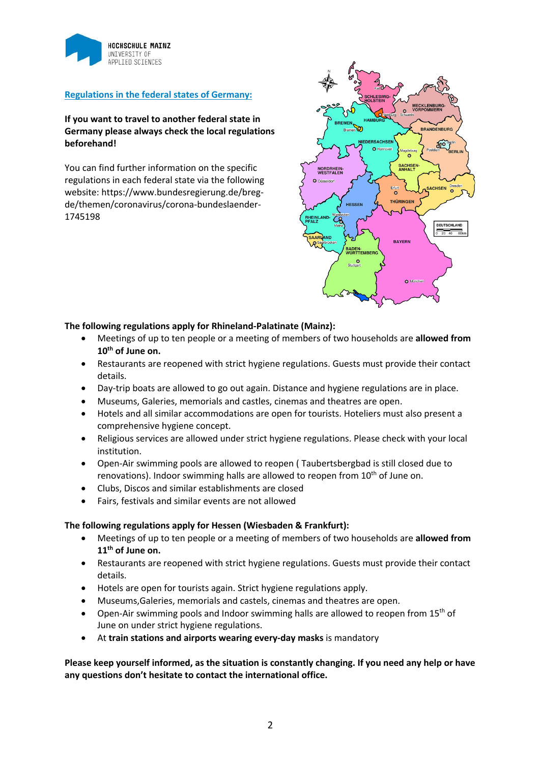

# **Regulations in the federal states of Germany:**

# **If you want to travel to another federal state in Germany please always check the local regulations beforehand!**

You can find further information on the specific regulations in each federal state via the following website: https://www.bundesregierung.de/bregde/themen/coronavirus/corona-bundeslaender-1745198



### **The following regulations apply for Rhineland-Palatinate (Mainz):**

- Meetings of up to ten people or a meeting of members of two households are **allowed from 10th of June on.**
- Restaurants are reopened with strict hygiene regulations. Guests must provide their contact details.
- Day-trip boats are allowed to go out again. Distance and hygiene regulations are in place.
- Museums, Galeries, memorials and castles, cinemas and theatres are open.
- Hotels and all similar accommodations are open for tourists. Hoteliers must also present a comprehensive hygiene concept.
- Religious services are allowed under strict hygiene regulations. Please check with your local institution.
- Open-Air swimming pools are allowed to reopen ( Taubertsbergbad is still closed due to renovations). Indoor swimming halls are allowed to reopen from  $10<sup>th</sup>$  of June on.
- Clubs, Discos and similar establishments are closed
- Fairs, festivals and similar events are not allowed

#### **The following regulations apply for Hessen (Wiesbaden & Frankfurt):**

- Meetings of up to ten people or a meeting of members of two households are **allowed from 11th of June on.**
- Restaurants are reopened with strict hygiene regulations. Guests must provide their contact details.
- Hotels are open for tourists again. Strict hygiene regulations apply.
- Museums,Galeries, memorials and castels, cinemas and theatres are open.
- Open-Air swimming pools and Indoor swimming halls are allowed to reopen from  $15<sup>th</sup>$  of June on under strict hygiene regulations.
- At **train stations and airports wearing every-day masks** is mandatory

**Please keep yourself informed, as the situation is constantly changing. If you need any help or have any questions don't hesitate to contact the international office.**